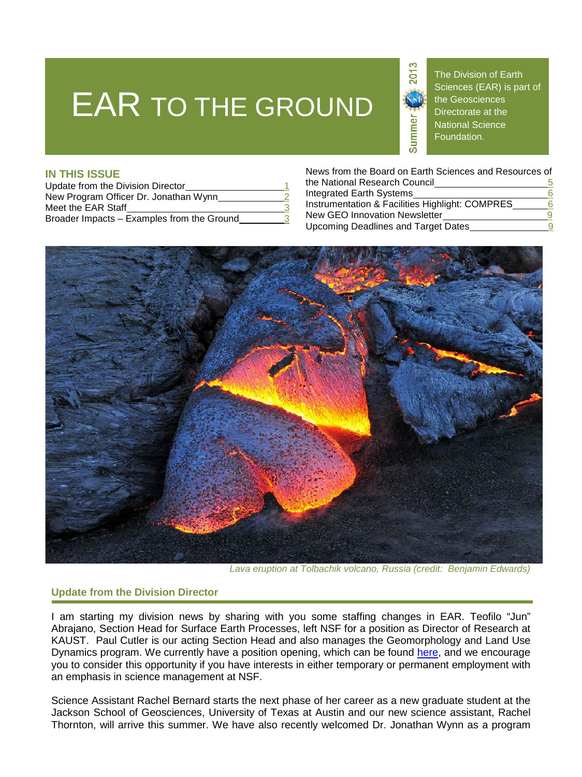# EAR TO THE GROUND



The Division of Earth Sciences (EAR) is part of the Geosciences Directorate at the National Science Foundation.

# **IN THIS ISSUE**

| Update from the Division Director          |  |
|--------------------------------------------|--|
| New Program Officer Dr. Jonathan Wynn      |  |
| Meet the EAR Staff                         |  |
| Broader Impacts - Examples from the Ground |  |

News from the Board on Earth Sciences and Resources of the National Research Council 5 Integrated Earth Systems<br>Instrumentation & Facilities Highlight: COMPRES 6 Instrumentation & Facilities Highlight: COMPRES New GEO Innovation Newsletter **9** 

Upcoming Deadlines and Target Dates



*Lava eruption at Tolbachik volcano, Russia (credit: Benjamin Edwards)*

# **Update from the Division Director**

I am starting my division news by sharing with you some staffing changes in EAR. Teofilo "Jun" Abrajano, Section Head for Surface Earth Processes, left NSF for a position as Director of Research at KAUST. Paul Cutler is our acting Section Head and also manages the Geomorphology and Land Use Dynamics program. We currently have a position opening, which can be found [here,](https://www.usajobs.gov/GetJob/ViewDetails/342745000) and we encourage you to consider this opportunity if you have interests in either temporary or permanent employment with an emphasis in science management at NSF.

Science Assistant Rachel Bernard starts the next phase of her career as a new graduate student at the Jackson School of Geosciences, University of Texas at Austin and our new science assistant, Rachel Thornton, will arrive this summer. We have also recently welcomed Dr. Jonathan Wynn as a program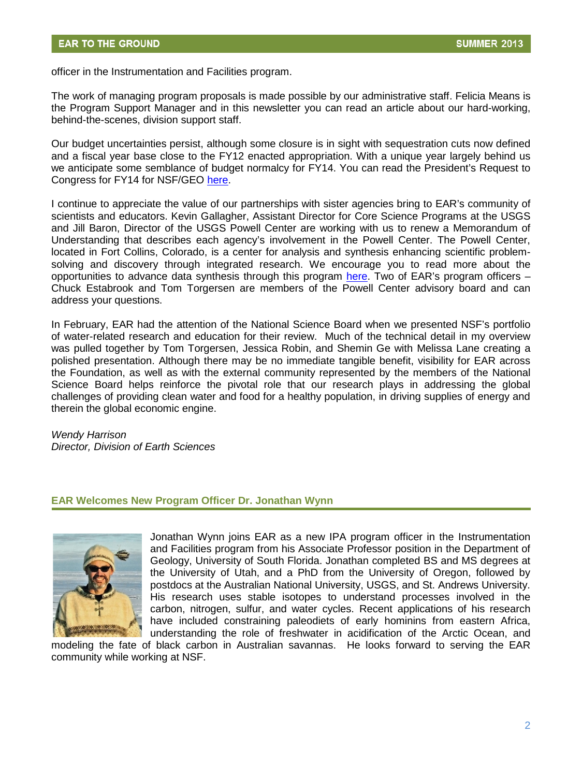officer in the Instrumentation and Facilities program.

The work of managing program proposals is made possible by our administrative staff. Felicia Means is the Program Support Manager and in this newsletter you can read an article about our hard-working, behind-the-scenes, division support staff.

Our budget uncertainties persist, although some closure is in sight with sequestration cuts now defined and a fiscal year base close to the FY12 enacted appropriation. With a unique year largely behind us we anticipate some semblance of budget normalcy for FY14. You can read the President's Request to Congress for FY14 for NSF/GEO [here.](http://nsf.gov/about/budget/fy2014/pdf/20_fy2014.pdf)

I continue to appreciate the value of our partnerships with sister agencies bring to EAR's community of scientists and educators. Kevin Gallagher, Assistant Director for Core Science Programs at the USGS and Jill Baron, Director of the USGS Powell Center are working with us to renew a Memorandum of Understanding that describes each agency's involvement in the Powell Center. The Powell Center, located in Fort Collins, Colorado, is a center for analysis and synthesis enhancing scientific problemsolving and discovery through integrated research. We encourage you to read more about the opportunities to advance data synthesis through this program [here.](http://www.powellcenter.usgs.gov) Two of EAR's program officers – Chuck Estabrook and Tom Torgersen are members of the Powell Center advisory board and can address your questions.

In February, EAR had the attention of the National Science Board when we presented NSF's portfolio of water-related research and education for their review. Much of the technical detail in my overview was pulled together by Tom Torgersen, Jessica Robin, and Shemin Ge with Melissa Lane creating a polished presentation. Although there may be no immediate tangible benefit, visibility for EAR across the Foundation, as well as with the external community represented by the members of the National Science Board helps reinforce the pivotal role that our research plays in addressing the global challenges of providing clean water and food for a healthy population, in driving supplies of energy and therein the global economic engine.

#### *Wendy Harrison Director, Division of Earth Sciences*

## **EAR Welcomes New Program Officer Dr. Jonathan Wynn**



Jonathan Wynn joins EAR as a new IPA program officer in the Instrumentation and Facilities program from his Associate Professor position in the Department of Geology, University of South Florida. Jonathan completed BS and MS degrees at the University of Utah, and a PhD from the University of Oregon, followed by postdocs at the Australian National University, USGS, and St. Andrews University. His research uses stable isotopes to understand processes involved in the carbon, nitrogen, sulfur, and water cycles. Recent applications of his research have included constraining paleodiets of early hominins from eastern Africa, understanding the role of freshwater in acidification of the Arctic Ocean, and

modeling the fate of black carbon in Australian savannas. He looks forward to serving the EAR community while working at NSF.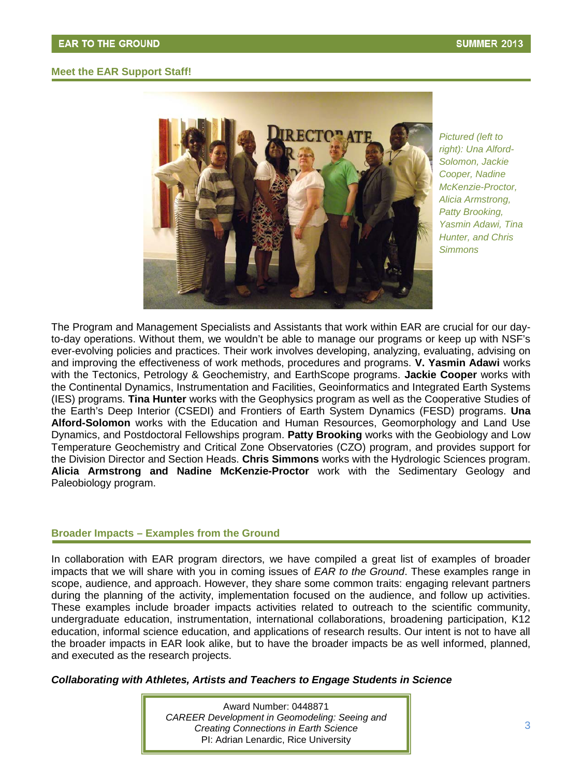## **Meet the EAR Support Staff!**



*Pictured (left to ht): Una Alford-rig lomon, Jackie So oper, Nadine Co* McKenzie-Proctor, *icia Armstrong, Al Patty Brooking, smin Adawi, Tina Ya Hunter, and Chris* **Simmons** 

The Program and Management Specialists and Assistants that work within EAR are crucial for our dayto-day operations. Without them, we wouldn't be able to manage our programs or keep up with NSF's ever-evolving policies and practices. Their work involves developing, analyzing, evaluating, advising on and improving the effectiveness of work methods, procedures and programs. **V. Yasmin Adawi** works with the Tectonics, Petrology & Geochemistry, and EarthScope programs. **Jackie Cooper** works with the Continental Dynamics, Instrumentation and Facilities, Geoinformatics and Integrated Earth Systems (IES) programs. **Tina Hunter** works with the Geophysics program as well as the Cooperative Studies of the Earth's Deep Interior (CSEDI) and Frontiers of Earth System Dynamics (FESD) programs. **Una Alford-Solomon** works with the Education and Human Resources, Geomorphology and Land Use Dynamics, and Postdoctoral Fellowships program. **Patty Brooking** works with the Geobiology and Low Temperature Geochemistry and Critical Zone Observatories (CZO) program, and provides support for the Division Director and Section Heads. **Chris Simmons** works with the Hydrologic Sciences program. **Alicia Armstrong and Nadine McKenzie-Proctor** work with the Sedimentary Geology and Paleobiology program.

#### **Broader Impacts – Examples from the Ground**

In collaboration with EAR program directors, we have compiled a great list of examples of broader impacts that we will share with you in coming issues of *EAR to the Ground*. These examples range in scope, audience, and approach. However, they share some common traits: engaging relevant partners during the planning of the activity, implementation focused on the audience, and follow up activities. These examples include broader impacts activities related to outreach to the scientific community, undergraduate education, instrumentation, international collaborations, broadening participation, K12 education, informal science education, and applications of research results. Our intent is not to have all the broader impacts in EAR look alike, but to have the broader impacts be as well informed, planned, and executed as the research projects.

*Collaborating with Athletes, Artists and Teachers to Engage Students in Science* 

Award Number: 0448871 *CAREER Development in Geomodeling: Seeing and Creating Connections in Earth Science* PI: Adrian Lenardic, Rice University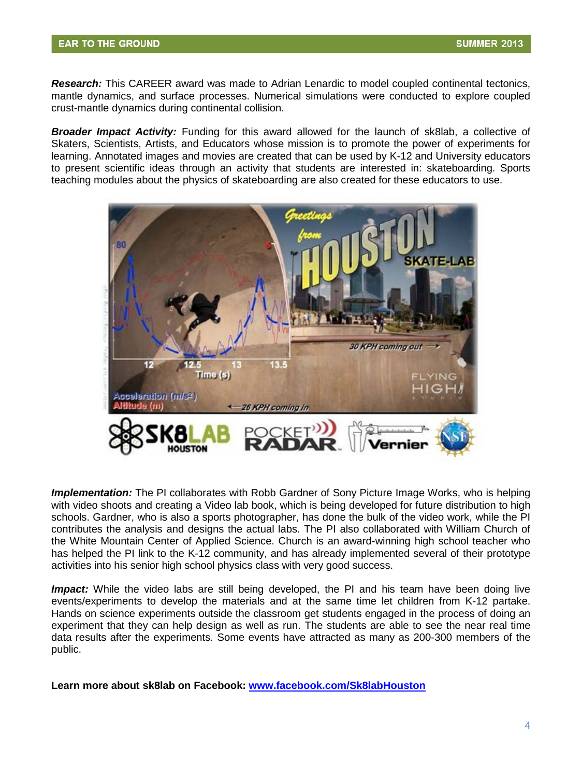*Research:* This CAREER award was made to Adrian Lenardic to model coupled continental tectonics, mantle dynamics, and surface processes. Numerical simulations were conducted to explore coupled crust-mantle dynamics during continental collision.

*Broader Impact Activity:* Funding for this award allowed for the launch of sk8lab, a collective of Skaters, Scientists, Artists, and Educators whose mission is to promote the power of experiments for learning. Annotated images and movies are created that can be used by K-12 and University educators to present scientific ideas through an activity that students are interested in: skateboarding. Sports teaching modules about the physics of skateboarding are also created for these educators to use.



*Implementation:* The PI collaborates with Robb Gardner of Sony Picture Image Works, who is helping with video shoots and creating a Video lab book, which is being developed for future distribution to high schools. Gardner, who is also a sports photographer, has done the bulk of the video work, while the PI contributes the analysis and designs the actual labs. The PI also collaborated with William Church of the White Mountain Center of Applied Science. Church is an award-winning high school teacher who has helped the PI link to the K-12 community, and has already implemented several of their prototype activities into his senior high school physics class with very good success.

*Impact:* While the video labs are still being developed, the PI and his team have been doing live events/experiments to develop the materials and at the same time let children from K-12 partake. Hands on science experiments outside the classroom get students engaged in the process of doing an experiment that they can help design as well as run. The students are able to see the near real time data results after the experiments. Some events have attracted as many as 200-300 members of the public.

**Learn more about sk8lab on Facebook: [www.facebook.com/Sk8labHouston](http://www.nsf.gov/cgi-bin/goodbye?http://www.facebook.com/Sk8labHouston/)**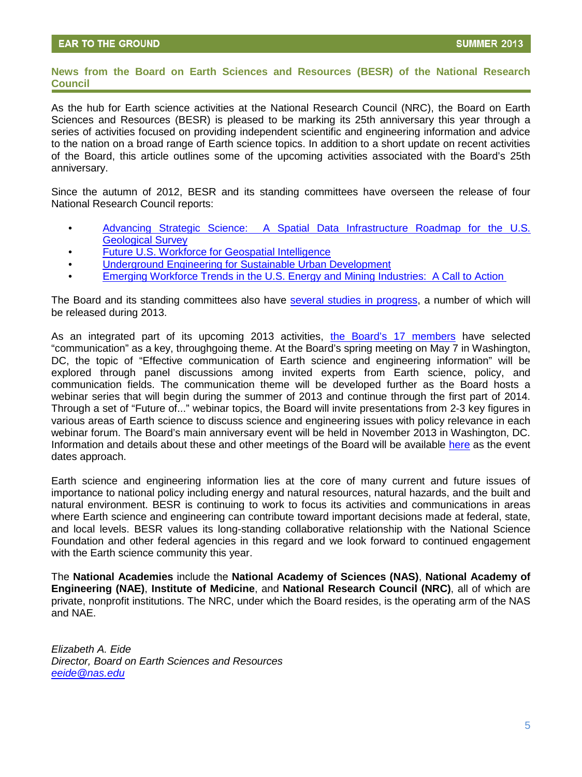#### **News from the Board on Earth Sciences and Resources (BESR) of the National Research Council**

As the hub for Earth science activities at the National Research Council (NRC), the Board on Earth Sciences and Resources (BESR) is pleased to be marking its 25th anniversary this year through a series of activities focused on providing independent scientific and engineering information and advice to the nation on a broad range of Earth science topics. In addition to a short update on recent activities of the Board, this article outlines some of the upcoming activities associated with the Board's 25th anniversary.

Since the autumn of 2012, BESR and its standing committees have overseen the release of four National Research Council reports:

- [Advancing Strategic Science: A Spatial Data Infrastructure Roadmap for the U.S.](http://www.nsf.gov/cgi-bin/goodbye?http://www.nap.edu/catalog.php?record_id=13506)  Geological Survey
- [Future U.S. Workforce for Geospatial Intelligence](http://www.nsf.gov/cgi-bin/goodbye?http://www.nap.edu/catalog.php?record_id=18265)
- [Underground Engineering for Sustainable Urban Development](http://www.nsf.gov/cgi-bin/goodbye?http://www.nap.edu/catalog.php?record_id=14670)
- [Emerging Workforce Trends in the U.S. Energy and Mining Industries: A Call to Action](http://www.nsf.gov/cgi-bin/goodbye?http://www.nap.edu/catalog.php?record_id=18250)

The Board and its standing committees also have [several studies in progress,](http://www.nsf.gov/cgi-bin/goodbye?http://dels.nas.edu/besr/Studies-In-Progress) a number of which will be released during 2013.

As an integrated part of its upcoming 2013 activities, [the Board's 17 members](http://www.nsf.gov/cgi-bin/goodbye?http://dels.nas.edu/global/besr/Board-Members) have selected "communication" as a key, throughgoing theme. At the Board's spring meeting on May 7 in Washington, DC, the topic of "Effective communication of Earth science and engineering information" will be explored through panel discussions among invited experts from Earth science, policy, and communication fields. The communication theme will be developed further as the Board hosts a webinar series that will begin during the summer of 2013 and continue through the first part of 2014. Through a set of "Future of..." webinar topics, the Board will invite presentations from 2-3 key figures in various areas of Earth science to discuss science and engineering issues with policy relevance in each webinar forum. The Board's main anniversary event will be held in November 2013 in Washington, DC. Information and details about these and other meetings of the Board will be available [here](http://www.nsf.gov/cgi-bin/goodbye?http://dels.nas.edu/besr/Upcoming-Events) as the event dates approach.

Earth science and engineering information lies at the core of many current and future issues of importance to national policy including energy and natural resources, natural hazards, and the built and natural environment. BESR is continuing to work to focus its activities and communications in areas where Earth science and engineering can contribute toward important decisions made at federal, state, and local levels. BESR values its long-standing collaborative relationship with the National Science Foundation and other federal agencies in this regard and we look forward to continued engagement with the Earth science community this year.

The **National Academies** include the **National Academy of Sciences (NAS)**, **National Academy of Engineering (NAE)**, **Institute of Medicine**, and **National Research Council (NRC)**, all of which are private, nonprofit institutions. The NRC, under which the Board resides, is the operating arm of the NAS and NAE.

*Elizabeth A. Eide Director, Board on Earth Sciences and Resources [eeide@nas.edu](mailto:eeide@nas.edu)*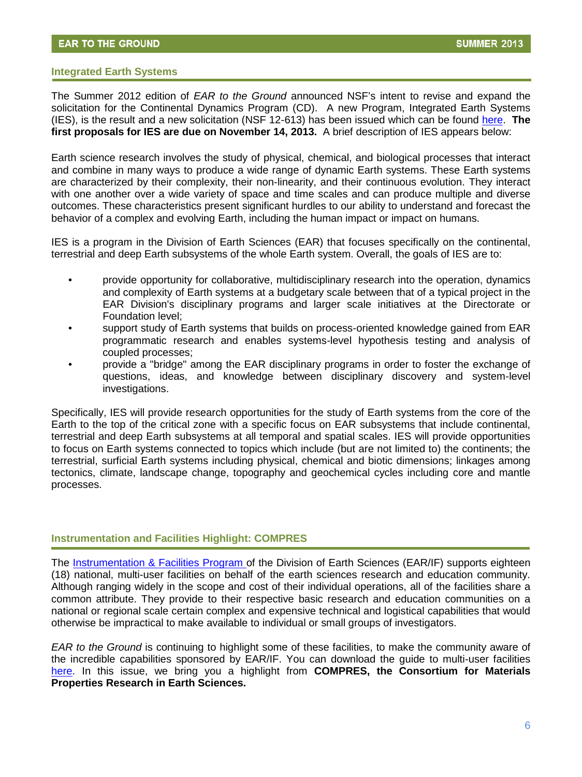#### **Integrated Earth Systems**

The Summer 2012 edition of *EAR to the Ground* announced NSF's intent to revise and expand the solicitation for the Continental Dynamics Program (CD). A new Program, Integrated Earth Systems (IES), is the result and a new solicitation (NSF 12-613) has been issued which can be found [here.](http://nsf.gov/funding/pgm_summ.jsp?pims_id=504833) **The first proposals for IES are due on November 14, 2013.** A brief description of IES appears below:

Earth science research involves the study of physical, chemical, and biological processes that interact and combine in many ways to produce a wide range of dynamic Earth systems. These Earth systems are characterized by their complexity, their non-linearity, and their continuous evolution. They interact with one another over a wide variety of space and time scales and can produce multiple and diverse outcomes. These characteristics present significant hurdles to our ability to understand and forecast the behavior of a complex and evolving Earth, including the human impact or impact on humans.

IES is a program in the Division of Earth Sciences (EAR) that focuses specifically on the continental, terrestrial and deep Earth subsystems of the whole Earth system. Overall, the goals of IES are to:

- provide opportunity for collaborative, multidisciplinary research into the operation, dynamics and complexity of Earth systems at a budgetary scale between that of a typical project in the EAR Division's disciplinary programs and larger scale initiatives at the Directorate or Foundation level;
- support study of Earth systems that builds on process-oriented knowledge gained from EAR programmatic research and enables systems-level hypothesis testing and analysis of coupled processes;
- provide a "bridge" among the EAR disciplinary programs in order to foster the exchange of questions, ideas, and knowledge between disciplinary discovery and system-level investigations.

Specifically, IES will provide research opportunities for the study of Earth systems from the core of the Earth to the top of the critical zone with a specific focus on EAR subsystems that include continental, terrestrial and deep Earth subsystems at all temporal and spatial scales. IES will provide opportunities to focus on Earth systems connected to topics which include (but are not limited to) the continents; the terrestrial, surficial Earth systems including physical, chemical and biotic dimensions; linkages among tectonics, climate, landscape change, topography and geochemical cycles including core and mantle processes.

#### **Instrumentation and Facilities Highlight: COMPRES**

The [Instrumentation & Facilities Program o](http://nsf.gov/funding/pgm_summ.jsp?pims_id=6186&org=EAR&from=home)f the Division of Earth Sciences (EAR/IF) supports eighteen (18) national, multi-user facilities on behalf of the earth sciences research and education community. Although ranging widely in the scope and cost of their individual operations, all of the facilities share a common attribute. They provide to their respective basic research and education communities on a national or regional scale certain complex and expensive technical and logistical capabilities that would otherwise be impractical to make available to individual or small groups of investigators.

*EAR to the Ground* is continuing to highlight some of these facilities, to make the community aware of the incredible capabilities sponsored by EAR/IF. You can download the guide to multi-user facilities [here.](http://www.nsf.gov/geo/ear/if/guidelines2012.pdf) In this issue, we bring you a highlight from **COMPRES, the Consortium for Materials Properties Research in Earth Sciences.**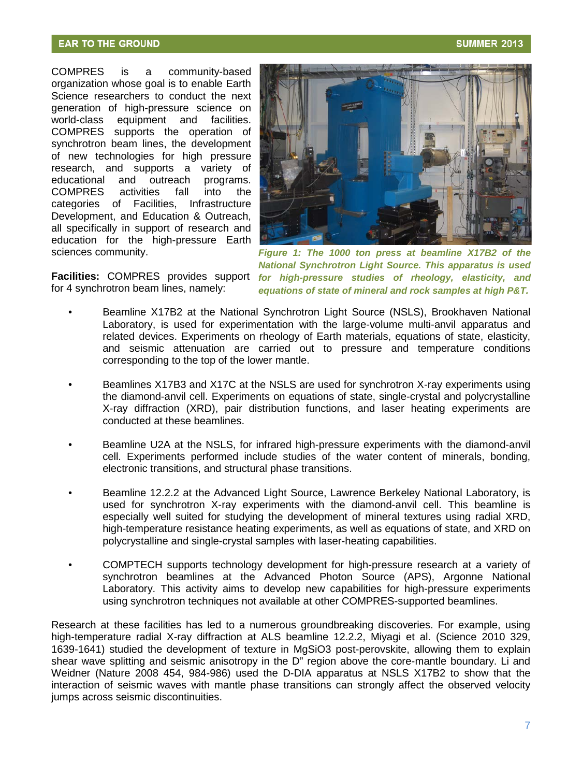## **EAR TO THE GROUND**

COMPRES is a community-based organization whose goal is to enable Earth Science researchers to conduct the next generation of high-pressure science on world-class equipment and facilities. COMPRES supports the operation of synchrotron beam lines, the development of new technologies for high pressure research, and supports a variety of programs. he Infrastructure Development, and Education & Outreach, all specifically in support of research and education for the high-pressure Earth educational and outreach COMPRES activities fall into categories of Facilities, sciences community.



**Facilities:** COMPRES provides support for 4 synchrotron beam lines, namely:

*Figure 1: The 1000 ton press at beamline X17B2 of the National Synchrotron Light Source. This apparatus is used for high-pressure studies of rheology, elasticity, and equations of state of mineral and rock samples at high P&T.*

- Beamline X17B2 at the National Synchrotron Light Source (NSLS), Brookhaven National Laboratory, is used for experimentation with the large-volume multi-anvil apparatus and related devices. Experiments on rheology of Earth materials, equations of state, elasticity, and seismic attenuation are carried out to pressure and temperature conditions corresponding to the top of the lower mantle.
- Beamlines X17B3 and X17C at the NSLS are used for synchrotron X-ray experiments using the diamond-anvil cell. Experiments on equations of state, single-crystal and polycrystalline X-ray diffraction (XRD), pair distribution functions, and laser heating experiments are conducted at these beamlines.
- Beamline U2A at the NSLS, for infrared high-pressure experiments with the diamond-anvil cell. Experiments performed include studies of the water content of minerals, bonding, electronic transitions, and structural phase transitions.
- Beamline 12.2.2 at the Advanced Light Source, Lawrence Berkeley National Laboratory, is used for synchrotron X-ray experiments with the diamond-anvil cell. This beamline is especially well suited for studying the development of mineral textures using radial XRD, high-temperature resistance heating experiments, as well as equations of state, and XRD on polycrystalline and single-crystal samples with laser-heating capabilities.
- COMPTECH supports technology development for high-pressure research at a variety of synchrotron beamlines at the Advanced Photon Source (APS), Argonne National Laboratory. This activity aims to develop new capabilities for high-pressure experiments using synchrotron techniques not available at other COMPRES-supported beamlines.

Research at these facilities has led to a numerous groundbreaking discoveries. For example, using high-temperature radial X-ray diffraction at ALS beamline 12.2.2, Miyagi et al. (Science 2010 329, 1639-1641) studied the development of texture in MgSiO3 post-perovskite, allowing them to explain shear wave splitting and seismic anisotropy in the D" region above the core-mantle boundary. Li and Weidner (Nature 2008 454, 984-986) used the D-DIA apparatus at NSLS X17B2 to show that the interaction of seismic waves with mantle phase transitions can strongly affect the observed velocity jumps across seismic discontinuities.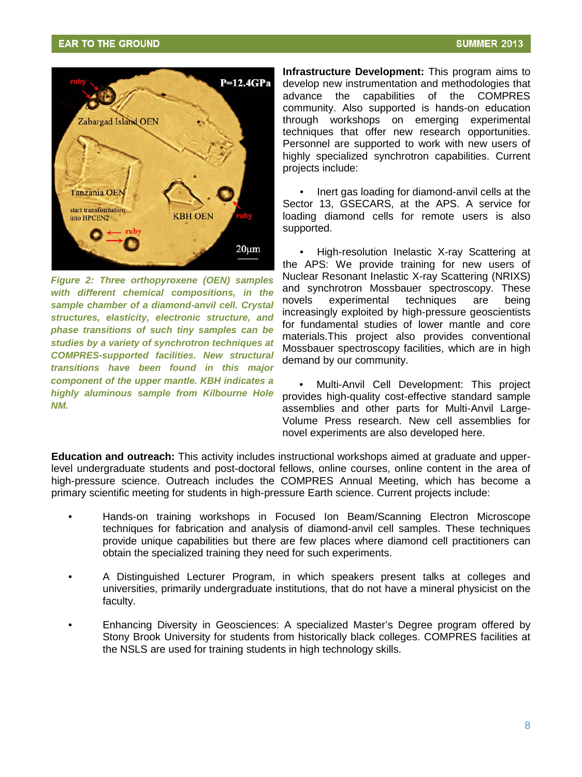

*Figure 2: Three orthopyroxene (OEN) samples with different chemical compositions, in the sample chamber of a diamond-anvil cell. Crystal structures, elasticity, electronic structure, and phase transitions of such tiny samples can be studies by a variety of synchrotron techniques at COMPRES-supported facilities. New structural transitions have been found in this major component of the upper mantle. KBH indicates a highly aluminous sample from Kilbourne Hole NM.*

**Infrastructure Development:** This program aims to develop new instrumentation and methodologies that advance the capabilities of the COMPRES community. Also supported is hands-on education through workshops on emerging experimental techniques that offer new research opportunities. Personnel are supported to work with new users of highly specialized synchrotron capabilities. Current projects include:

• Inert gas loading for diamond-anvil cells at the Sector 13, GSECARS, at the APS. A service for loading diamond cells for remote users is also supported.

• High-resolution Inelastic X-ray Scattering at the APS: We provide training for new users of Nuclear Resonant Inelastic X-ray Scattering (NRIXS) and synchrotron Mossbauer spectroscopy. These novels experimental techniques are being increasingly exploited by high-pressure geoscientists for fundamental studies of lower mantle and core materials.This project also provides conventional Mossbauer spectroscopy facilities, which are in high demand by our community.

• Multi-Anvil Cell Development: This project provides high-quality cost-effective standard sample assemblies and other parts for Multi-Anvil Large-Volume Press research. New cell assemblies for novel experiments are also developed here.

**Education and outreach:** This activity includes instructional workshops aimed at graduate and upperlevel undergraduate students and post-doctoral fellows, online courses, online content in the area of high-pressure science. Outreach includes the COMPRES Annual Meeting, which has become a primary scientific meeting for students in high-pressure Earth science. Current projects include:

- Hands-on tr aining workshops in Focused Ion Beam/Scanning Electron Microscope techniques f or fabrication and analysis of diamond-anvil cell samples. These techniques provide unique capabilities but there are few places where diamond cell practitioners can obtain the sp ecialized training they need for such experiments.
- A Distinguis hed Lecturer Program, in which speakers present talks at colleges and universities, primarily undergraduate institutions, that do not have a mineral physicist on the faculty.
- Enhancing Diversity in Geosciences: A specialized Master's Degree program offered by Stony Brook University for students from historically black colleges. COMPRES facilities at the NSLS ar e used for training students in high technology skills.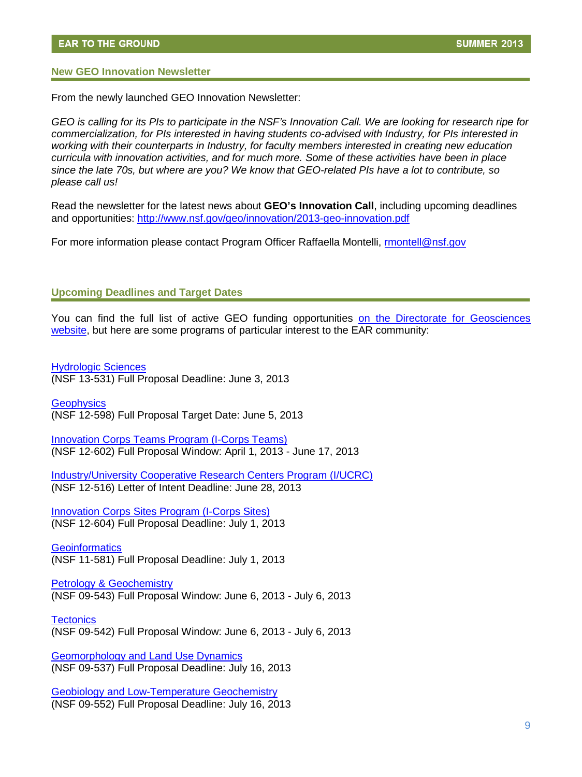#### **New GEO Innovation Newsletter**

From the newly launched GEO Innovation Newsletter:

*GEO is calling for its PIs to participate in the NSF's Innovation Call. We are looking for research ripe for commercialization, for PIs interested in having students co-advised with Industry, for PIs interested in working with their counterparts in Industry, for faculty members interested in creating new education curricula with innovation activities, and for much more. Some of these activities have been in place since the late 70s, but where are you? We know that GEO-related PIs have a lot to contribute, so please call us!*

Read the newsletter for the latest news about **GEO's Innovation Call**, including upcoming deadlines and opportunities:<http://www.nsf.gov/geo/innovation/2013-geo-innovation.pdf>

For more information please contact Program Officer Raffaella Montelli, rmontell@nsf.gov

#### **Upcoming Deadlines and Target Dates**

You can find the full list of active GEO funding opportunities [on the Directorate for Geosciences](http://www.nsf.gov/funding/pgm_list.jsp?org=GEO)  [website,](http://www.nsf.gov/funding/pgm_list.jsp?org=GEO) but here are some programs of particular interest to the EAR community:

[Hydrologic Sciences](http://www.nsf.gov/funding/pgm_summ.jsp?pims_id=13684&org=GEO&from=home) (NSF 13-531) Full Proposal Deadline: June 3, 2013

**[Geophysics](http://www.nsf.gov/funding/pgm_summ.jsp?pims_id=13682&org=EAR&from=home)** (NSF 12-598) Full Proposal Target Date: June 5, 2013

[Innovation Corps Teams Program \(I-Corps Teams\)](http://www.nsf.gov/funding/pgm_summ.jsp?pims_id=504672&org=EAR&sel_org=EAR&from=fund) (NSF 12-602) Full Proposal Window: April 1, 2013 - June 17, 2013

[Industry/University Cooperative Research Centers Program \(I/UCRC\)](http://www.nsf.gov/funding/pgm_summ.jsp?pims_id=5501&org=EAR&sel_org=EAR&from=fund) (NSF 12-516) Letter of Intent Deadline: June 28, 2013

[Innovation Corps Sites Program \(I-Corps Sites\)](http://www.nsf.gov/funding/pgm_summ.jsp?pims_id=504802&org=EAR&sel_org=EAR&from=fund) (NSF 12-604) Full Proposal Deadline: July 1, 2013

**[Geoinformatics](http://www.nsf.gov/funding/pgm_summ.jsp?pims_id=503447&org=EAR&from=home)** (NSF 11-581) Full Proposal Deadline: July 1, 2013

[Petrology & Geochemistry](http://www.nsf.gov/funding/pgm_summ.jsp?pims_id=13683&org=EAR&from=home)  (NSF 09-543) Full Proposal Window: June 6, 2013 - July 6, 2013

**[Tectonics](http://www.nsf.gov/funding/pgm_summ.jsp?pims_id=13673&org=EAR&from=home)** (NSF 09-542) Full Proposal Window: June 6, 2013 - July 6, 2013

[Geomorphology and Land Use Dynamics](http://www.nsf.gov/funding/pgm_summ.jsp?pims_id=13690&org=EAR&from=home) (NSF 09-537) Full Proposal Deadline: July 16, 2013

[Geobiology and Low-Temperature Geochemistry](http://www.nsf.gov/funding/pgm_summ.jsp?pims_id=13689) (NSF 09-552) Full Proposal Deadline: July 16, 2013